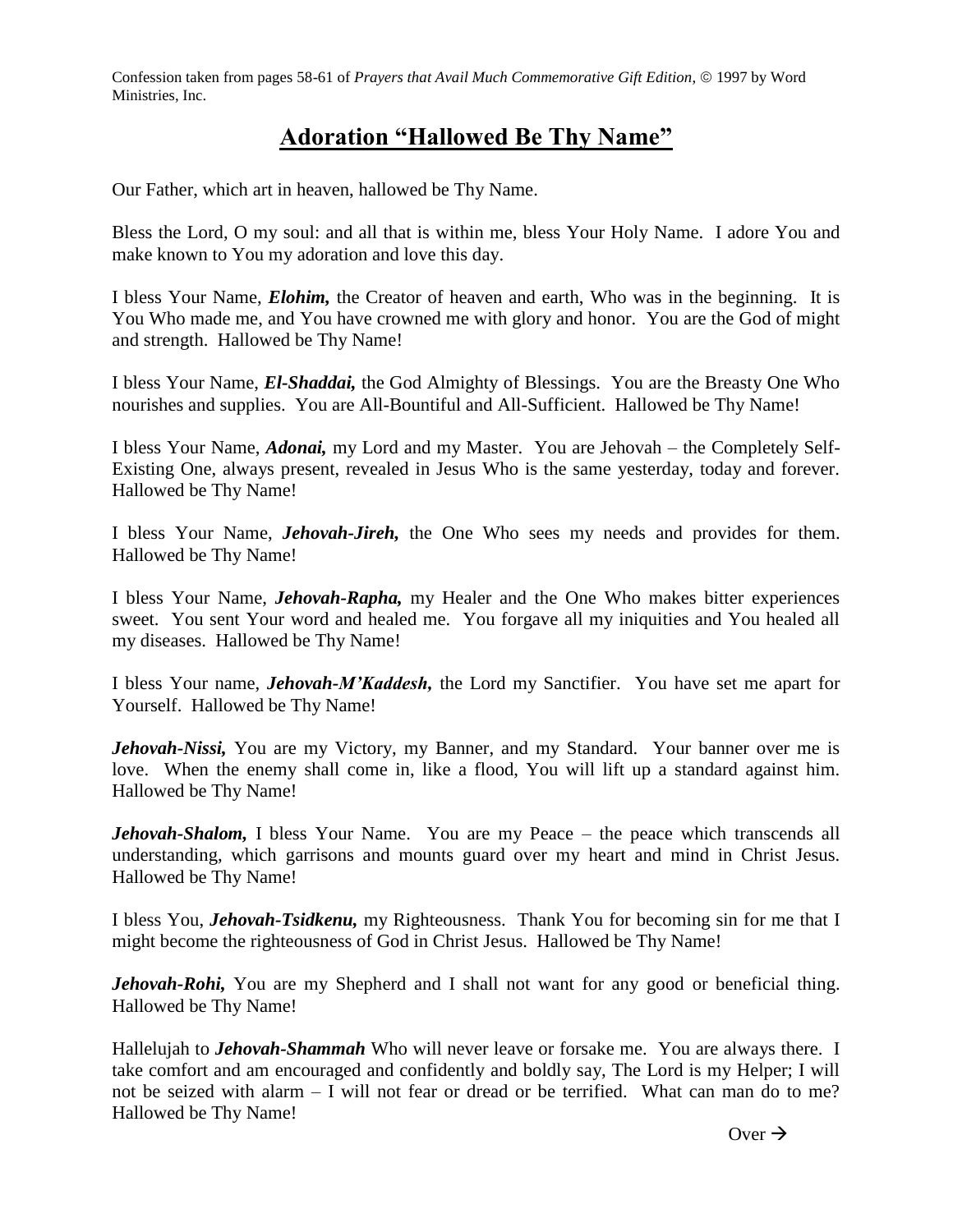Confession taken from pages 58-61 of *Prayers that Avail Much Commemorative Gift Edition*,  $© 1997$  by Word Ministries, Inc.

## **Adoration "Hallowed Be Thy Name"**

Our Father, which art in heaven, hallowed be Thy Name.

Bless the Lord, O my soul: and all that is within me, bless Your Holy Name. I adore You and make known to You my adoration and love this day.

I bless Your Name, *Elohim,* the Creator of heaven and earth, Who was in the beginning. It is You Who made me, and You have crowned me with glory and honor. You are the God of might and strength. Hallowed be Thy Name!

I bless Your Name, *El-Shaddai,* the God Almighty of Blessings. You are the Breasty One Who nourishes and supplies. You are All-Bountiful and All-Sufficient. Hallowed be Thy Name!

I bless Your Name, *Adonai,* my Lord and my Master. You are Jehovah – the Completely Self-Existing One, always present, revealed in Jesus Who is the same yesterday, today and forever. Hallowed be Thy Name!

I bless Your Name, *Jehovah-Jireh,* the One Who sees my needs and provides for them. Hallowed be Thy Name!

I bless Your Name, *Jehovah-Rapha,* my Healer and the One Who makes bitter experiences sweet. You sent Your word and healed me. You forgave all my iniquities and You healed all my diseases. Hallowed be Thy Name!

I bless Your name, *Jehovah-M'Kaddesh,* the Lord my Sanctifier. You have set me apart for Yourself. Hallowed be Thy Name!

*Jehovah-Nissi*, You are my Victory, my Banner, and my Standard. Your banner over me is love. When the enemy shall come in, like a flood, You will lift up a standard against him. Hallowed be Thy Name!

*Jehovah-Shalom,* I bless Your Name. You are my Peace – the peace which transcends all understanding, which garrisons and mounts guard over my heart and mind in Christ Jesus. Hallowed be Thy Name!

I bless You, *Jehovah-Tsidkenu,* my Righteousness. Thank You for becoming sin for me that I might become the righteousness of God in Christ Jesus. Hallowed be Thy Name!

*Jehovah-Rohi*, You are my Shepherd and I shall not want for any good or beneficial thing. Hallowed be Thy Name!

Hallelujah to *Jehovah-Shammah* Who will never leave or forsake me. You are always there. I take comfort and am encouraged and confidently and boldly say, The Lord is my Helper; I will not be seized with alarm – I will not fear or dread or be terrified. What can man do to me? Hallowed be Thy Name!